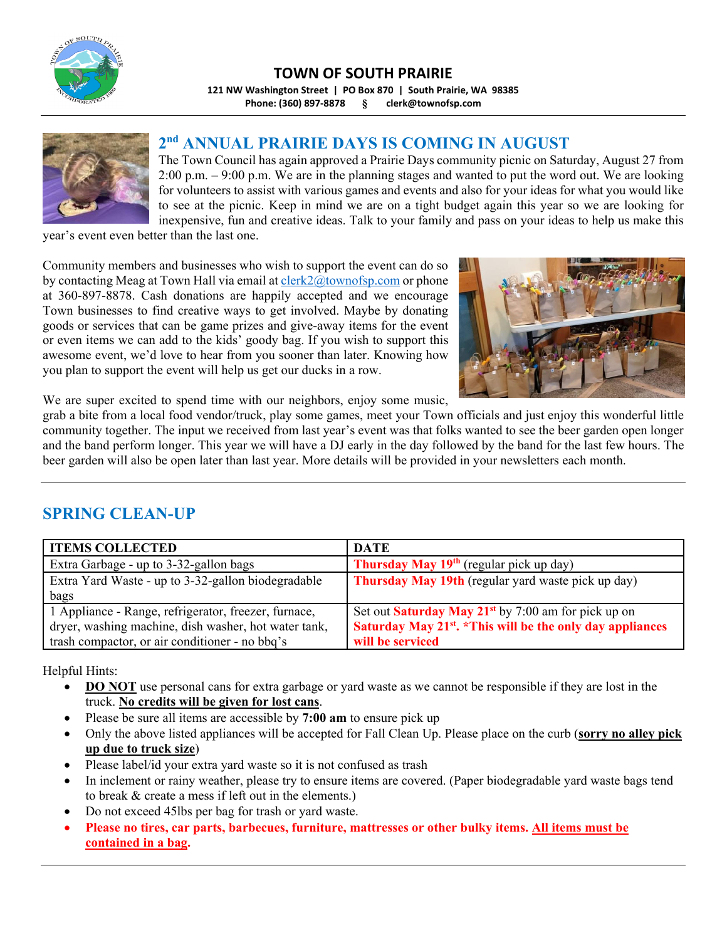

### **TOWN OF SOUTH PRAIRIE**

**121 NW Washington Street | PO Box 870 | South Prairie, WA 98385 Phone: (360) 897‐8878 § clerk@townofsp.com**



### **2nd ANNUAL PRAIRIE DAYS IS COMING IN AUGUST**

The Town Council has again approved a Prairie Days community picnic on Saturday, August 27 from 2:00 p.m. – 9:00 p.m. We are in the planning stages and wanted to put the word out. We are looking for volunteers to assist with various games and events and also for your ideas for what you would like to see at the picnic. Keep in mind we are on a tight budget again this year so we are looking for inexpensive, fun and creative ideas. Talk to your family and pass on your ideas to help us make this

year's event even better than the last one.

Community members and businesses who wish to support the event can do so by contacting Meag at Town Hall via email at clerk2@townofsp.com or phone at 360-897-8878. Cash donations are happily accepted and we encourage Town businesses to find creative ways to get involved. Maybe by donating goods or services that can be game prizes and give-away items for the event or even items we can add to the kids' goody bag. If you wish to support this awesome event, we'd love to hear from you sooner than later. Knowing how you plan to support the event will help us get our ducks in a row.



We are super excited to spend time with our neighbors, enjoy some music,

grab a bite from a local food vendor/truck, play some games, meet your Town officials and just enjoy this wonderful little community together. The input we received from last year's event was that folks wanted to see the beer garden open longer and the band perform longer. This year we will have a DJ early in the day followed by the band for the last few hours. The beer garden will also be open later than last year. More details will be provided in your newsletters each month.

### **SPRING CLEAN-UP**

| <b>ITEMS COLLECTED</b>                               | <b>DATE</b>                                                           |
|------------------------------------------------------|-----------------------------------------------------------------------|
| Extra Garbage - up to 3-32-gallon bags               | <b>Thursday May 19th</b> (regular pick up day)                        |
| Extra Yard Waste - up to 3-32-gallon biodegradable   | <b>Thursday May 19th</b> (regular yard waste pick up day)             |
| bags                                                 |                                                                       |
| 1 Appliance - Range, refrigerator, freezer, furnace, | Set out Saturday May $21^{st}$ by 7:00 am for pick up on              |
| dryer, washing machine, dish washer, hot water tank, | Saturday May 21 <sup>st</sup> . *This will be the only day appliances |
| trash compactor, or air conditioner - no bbq's       | will be serviced                                                      |

Helpful Hints:

- **DO NOT** use personal cans for extra garbage or yard waste as we cannot be responsible if they are lost in the truck. **No credits will be given for lost cans**.
- Please be sure all items are accessible by **7:00 am** to ensure pick up
- Only the above listed appliances will be accepted for Fall Clean Up. Please place on the curb (**sorry no alley pick up due to truck size**)
- Please label/id your extra yard waste so it is not confused as trash
- In inclement or rainy weather, please try to ensure items are covered. (Paper biodegradable yard waste bags tend to break & create a mess if left out in the elements.)
- Do not exceed 45lbs per bag for trash or yard waste.
- **Please no tires, car parts, barbecues, furniture, mattresses or other bulky items. All items must be contained in a bag.**